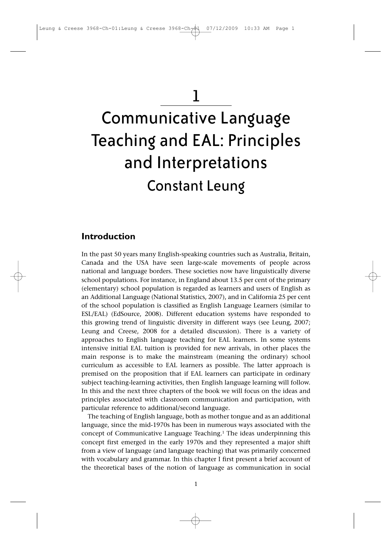# Communicative Language Teaching and EAL: Principles and Interpretations Constant Leung

## **Introduction**

In the past 50 years many English-speaking countries such as Australia, Britain, Canada and the USA have seen large-scale movements of people across national and language borders. These societies now have linguistically diverse school populations. For instance, in England about 13.5 per cent of the primary (elementary) school population is regarded as learners and users of English as an Additional Language (National Statistics, 2007), and in California 25 per cent of the school population is classified as English Language Learners (similar to ESL/EAL) (EdSource, 2008). Different education systems have responded to this growing trend of linguistic diversity in different ways (see Leung, 2007; Leung and Creese, 2008 for a detailed discussion). There is a variety of approaches to English language teaching for EAL learners. In some systems intensive initial EAL tuition is provided for new arrivals, in other places the main response is to make the mainstream (meaning the ordinary) school curriculum as accessible to EAL learners as possible. The latter approach is premised on the proposition that if EAL learners can participate in ordinary subject teaching-learning activities, then English language learning will follow. In this and the next three chapters of the book we will focus on the ideas and principles associated with classroom communication and participation, with particular reference to additional/second language.

The teaching of English language, both as mother tongue and as an additional language, since the mid-1970s has been in numerous ways associated with the concept of Communicative Language Teaching.<sup>1</sup> The ideas underpinning this concept first emerged in the early 1970s and they represented a major shift from a view of language (and language teaching) that was primarily concerned with vocabulary and grammar. In this chapter I first present a brief account of the theoretical bases of the notion of language as communication in social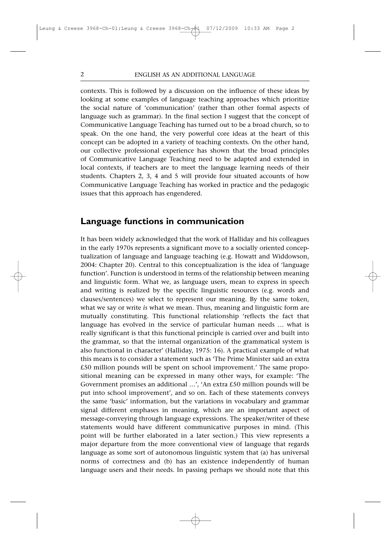#### 2 ENGLISH AS AN ADDITIONAL LANGUAGE

contexts. This is followed by a discussion on the influence of these ideas by looking at some examples of language teaching approaches which prioritize the social nature of 'communication' (rather than other formal aspects of language such as grammar). In the final section I suggest that the concept of Communicative Language Teaching has turned out to be a broad church, so to speak. On the one hand, the very powerful core ideas at the heart of this concept can be adopted in a variety of teaching contexts. On the other hand, our collective professional experience has shown that the broad principles of Communicative Language Teaching need to be adapted and extended in local contexts, if teachers are to meet the language learning needs of their students. Chapters 2, 3, 4 and 5 will provide four situated accounts of how Communicative Language Teaching has worked in practice and the pedagogic issues that this approach has engendered.

### **Language functions in communication**

It has been widely acknowledged that the work of Halliday and his colleagues in the early 1970s represents a significant move to a socially oriented conceptualization of language and language teaching (e.g. Howatt and Widdowson, 2004: Chapter 20). Central to this conceptualization is the idea of 'language function'. Function is understood in terms of the relationship between meaning and linguistic form. What we, as language users, mean to express in speech and writing is realized by the specific linguistic resources (e.g. words and clauses/sentences) we select to represent our meaning. By the same token, what we say or write *is* what we mean. Thus, meaning and linguistic form are mutually constituting. This functional relationship 'reflects the fact that language has evolved in the service of particular human needs … what is really significant is that this functional principle is carried over and built into the grammar, so that the internal organization of the grammatical system is also functional in character' (Halliday, 1975: 16). A practical example of what this means is to consider a statement such as 'The Prime Minister said an extra £50 million pounds will be spent on school improvement.' The same propositional meaning can be expressed in many other ways, for example: 'The Government promises an additional …', 'An extra £50 million pounds will be put into school improvement', and so on. Each of these statements conveys the same 'basic' information, but the variations in vocabulary and grammar signal different emphases in meaning, which are an important aspect of message-conveying through language expressions. The speaker/writer of these statements would have different communicative purposes in mind. (This point will be further elaborated in a later section.) This view represents a major departure from the more conventional view of language that regards language as some sort of autonomous linguistic system that (a) has universal norms of correctness and (b) has an existence independently of human language users and their needs. In passing perhaps we should note that this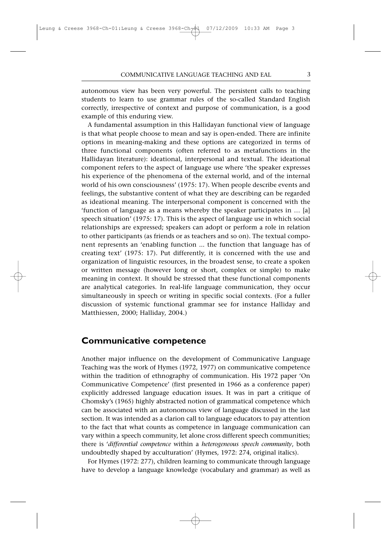autonomous view has been very powerful. The persistent calls to teaching students to learn to use grammar rules of the so-called Standard English correctly, irrespective of context and purpose of communication, is a good example of this enduring view.

A fundamental assumption in this Hallidayan functional view of language is that what people choose to mean and say is open-ended. There are infinite options in meaning-making and these options are categorized in terms of three functional components (often referred to as metafunctions in the Hallidayan literature): ideational, interpersonal and textual. The ideational component refers to the aspect of language use where 'the speaker expresses his experience of the phenomena of the external world, and of the internal world of his own consciousness' (1975: 17). When people describe events and feelings, the substantive content of what they are describing can be regarded as ideational meaning. The interpersonal component is concerned with the 'function of language as a means whereby the speaker participates in … [a] speech situation' (1975: 17). This is the aspect of language use in which social relationships are expressed; speakers can adopt or perform a role in relation to other participants (as friends or as teachers and so on). The textual component represents an 'enabling function ... the function that language has of creating text' (1975: 17). Put differently, it is concerned with the use and organization of linguistic resources, in the broadest sense, to create a spoken or written message (however long or short, complex or simple) to make meaning in context. It should be stressed that these functional components are analytical categories. In real-life language communication, they occur simultaneously in speech or writing in specific social contexts. (For a fuller discussion of systemic functional grammar see for instance Halliday and Matthiessen, 2000; Halliday, 2004.)

## **Communicative competence**

Another major influence on the development of Communicative Language Teaching was the work of Hymes (1972, 1977) on communicative competence within the tradition of ethnography of communication. His 1972 paper 'On Communicative Competence' (first presented in 1966 as a conference paper) explicitly addressed language education issues. It was in part a critique of Chomsky's (1965) highly abstracted notion of grammatical competence which can be associated with an autonomous view of language discussed in the last section. It was intended as a clarion call to language educators to pay attention to the fact that what counts as competence in language communication can vary within a speech community, let alone cross different speech communities; there is '*differential competence* within a *heterogeneous speech community*, both undoubtedly shaped by acculturation' (Hymes, 1972: 274, original italics).

For Hymes (1972: 277), children learning to communicate through language have to develop a language knowledge (vocabulary and grammar) as well as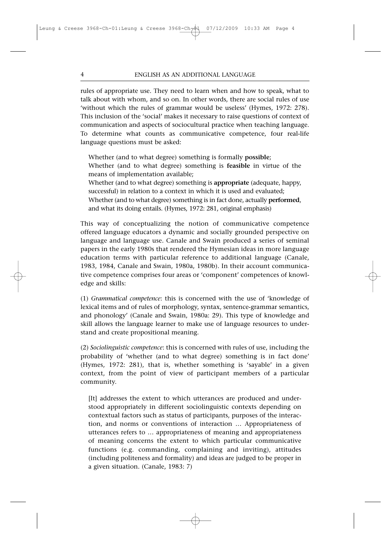#### ENGLISH AS AN ADDITIONAL LANGUAGE

rules of appropriate use. They need to learn when and how to speak, what to talk about with whom, and so on. In other words, there are social rules of use 'without which the rules of grammar would be useless' (Hymes, 1972: 278). This inclusion of the 'social' makes it necessary to raise questions of context of communication and aspects of sociocultural practice when teaching language. To determine what counts as communicative competence, four real-life language questions must be asked:

Whether (and to what degree) something is formally **possible**; Whether (and to what degree) something is **feasible** in virtue of the means of implementation available; Whether (and to what degree) something is **appropriate** (adequate, happy, successful) in relation to a context in which it is used and evaluated; Whether (and to what degree) something is in fact done, actually **performed**,

and what its doing entails. (Hymes, 1972: 281, original emphasis)

This way of conceptualizing the notion of communicative competence offered language educators a dynamic and socially grounded perspective on language and language use. Canale and Swain produced a series of seminal papers in the early 1980s that rendered the Hymesian ideas in more language education terms with particular reference to additional language (Canale, 1983, 1984, Canale and Swain, 1980a, 1980b). In their account communicative competence comprises four areas or 'component' competences of knowledge and skills:

(1) *Grammatical competence*: this is concerned with the use of 'knowledge of lexical items and of rules of morphology, syntax, sentence-grammar semantics, and phonology' (Canale and Swain, 1980a: 29). This type of knowledge and skill allows the language learner to make use of language resources to understand and create propositional meaning.

(2) *Sociolinguistic competence*: this is concerned with rules of use, including the probability of 'whether (and to what degree) something is in fact done' (Hymes, 1972: 281), that is, whether something is 'sayable' in a given context, from the point of view of participant members of a particular community.

[It] addresses the extent to which utterances are produced and understood appropriately in different sociolinguistic contexts depending on contextual factors such as status of participants, purposes of the interaction, and norms or conventions of interaction … Appropriateness of utterances refers to … appropriateness of meaning and appropriateness of meaning concerns the extent to which particular communicative functions (e.g. commanding, complaining and inviting), attitudes (including politeness and formality) and ideas are judged to be proper in a given situation. (Canale, 1983: 7)

4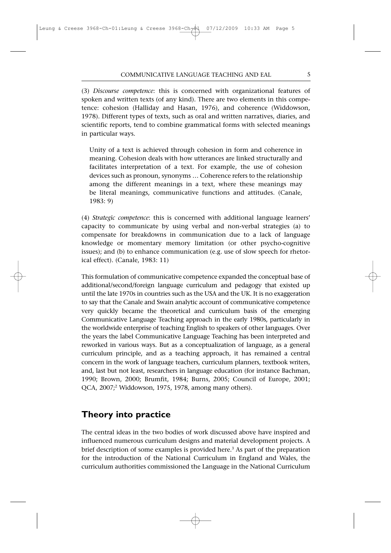(3) *Discourse competence*: this is concerned with organizational features of spoken and written texts (of any kind). There are two elements in this competence: cohesion (Halliday and Hasan, 1976), and coherence (Widdowson, 1978). Different types of texts, such as oral and written narratives, diaries, and scientific reports, tend to combine grammatical forms with selected meanings in particular ways.

Unity of a text is achieved through cohesion in form and coherence in meaning. Cohesion deals with how utterances are linked structurally and facilitates interpretation of a text. For example, the use of cohesion devices such as pronoun, synonyms … Coherence refers to the relationship among the different meanings in a text, where these meanings may be literal meanings, communicative functions and attitudes. (Canale, 1983: 9)

(4) *Strategic competence*: this is concerned with additional language learners' capacity to communicate by using verbal and non-verbal strategies (a) to compensate for breakdowns in communication due to a lack of language knowledge or momentary memory limitation (or other psycho-cognitive issues); and (b) to enhance communication (e.g. use of slow speech for rhetorical effect). (Canale, 1983: 11)

This formulation of communicative competence expanded the conceptual base of additional/second/foreign language curriculum and pedagogy that existed up until the late 1970s in countries such as the USA and the UK. It is no exaggeration to say that the Canale and Swain analytic account of communicative competence very quickly became the theoretical and curriculum basis of the emerging Communicative Language Teaching approach in the early 1980s, particularly in the worldwide enterprise of teaching English to speakers of other languages. Over the years the label Communicative Language Teaching has been interpreted and reworked in various ways. But as a conceptualization of language, as a general curriculum principle, and as a teaching approach, it has remained a central concern in the work of language teachers, curriculum planners, textbook writers, and, last but not least, researchers in language education (for instance Bachman, 1990; Brown, 2000; Brumfit, 1984; Burns, 2005; Council of Europe, 2001; QCA, 2007;<sup>2</sup> Widdowson, 1975, 1978, among many others).

## **Theory into practice**

The central ideas in the two bodies of work discussed above have inspired and influenced numerous curriculum designs and material development projects. A brief description of some examples is provided here.<sup>3</sup> As part of the preparation for the introduction of the National Curriculum in England and Wales, the curriculum authorities commissioned the Language in the National Curriculum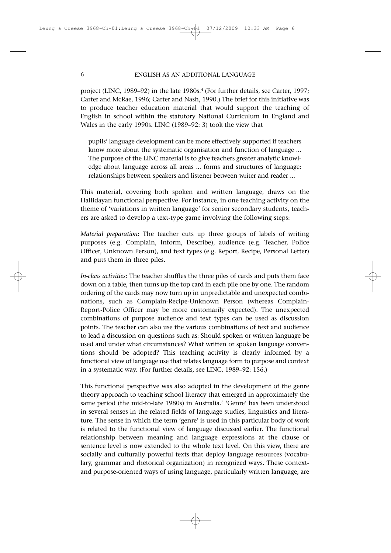#### ENGLISH AS AN ADDITIONAL LANGUAGE

project (LINC, 1989–92) in the late 1980s.<sup>4</sup> (For further details, see Carter, 1997; Carter and McRae, 1996; Carter and Nash, 1990.) The brief for this initiative was to produce teacher education material that would support the teaching of English in school within the statutory National Curriculum in England and Wales in the early 1990s. LINC (1989–92: 3) took the view that

pupils' language development can be more effectively supported if teachers know more about the systematic organisation and function of language ... The purpose of the LINC material is to give teachers greater analytic knowledge about language across all areas ... forms and structures of language; relationships between speakers and listener between writer and reader ...

This material, covering both spoken and written language, draws on the Hallidayan functional perspective. For instance, in one teaching activity on the theme of 'variations in written language' for senior secondary students, teachers are asked to develop a text-type game involving the following steps:

*Material preparation*: The teacher cuts up three groups of labels of writing purposes (e.g. Complain, Inform, Describe), audience (e.g. Teacher, Police Officer, Unknown Person), and text types (e.g. Report, Recipe, Personal Letter) and puts them in three piles.

*In-class activities*: The teacher shuffles the three piles of cards and puts them face down on a table, then turns up the top card in each pile one by one. The random ordering of the cards may now turn up in unpredictable and unexpected combinations, such as Complain-Recipe-Unknown Person (whereas Complain-Report-Police Officer may be more customarily expected). The unexpected combinations of purpose audience and text types can be used as discussion points. The teacher can also use the various combinations of text and audience to lead a discussion on questions such as: Should spoken or written language be used and under what circumstances? What written or spoken language conventions should be adopted? This teaching activity is clearly informed by a functional view of language use that relates language form to purpose and context in a systematic way. (For further details, see LINC, 1989–92: 156.)

This functional perspective was also adopted in the development of the genre theory approach to teaching school literacy that emerged in approximately the same period (the mid-to-late 1980s) in Australia.<sup>5</sup> 'Genre' has been understood in several senses in the related fields of language studies, linguistics and literature. The sense in which the term 'genre' is used in this particular body of work is related to the functional view of language discussed earlier. The functional relationship between meaning and language expressions at the clause or sentence level is now extended to the whole text level. On this view, there are socially and culturally powerful texts that deploy language resources (vocabulary, grammar and rhetorical organization) in recognized ways. These contextand purpose-oriented ways of using language, particularly written language, are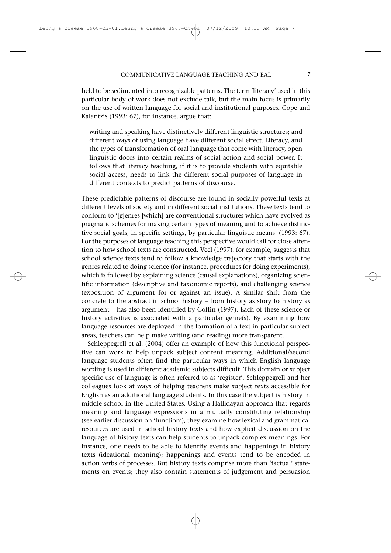held to be sedimented into recognizable patterns. The term 'literacy' used in this particular body of work does not exclude talk, but the main focus is primarily on the use of written language for social and institutional purposes. Cope and Kalantzis (1993: 67), for instance, argue that:

writing and speaking have distinctively different linguistic structures; and different ways of using language have different social effect. Literacy, and the types of transformation of oral language that come with literacy, open linguistic doors into certain realms of social action and social power. It follows that literacy teaching, if it is to provide students with equitable social access, needs to link the different social purposes of language in different contexts to predict patterns of discourse.

These predictable patterns of discourse are found in socially powerful texts at different levels of society and in different social institutions. These texts tend to conform to '[g]enres [which] are conventional structures which have evolved as pragmatic schemes for making certain types of meaning and to achieve distinctive social goals, in specific settings, by particular linguistic means' (1993: 67). For the purposes of language teaching this perspective would call for close attention to how school texts are constructed. Veel (1997), for example, suggests that school science texts tend to follow a knowledge trajectory that starts with the genres related to doing science (for instance, procedures for doing experiments), which is followed by explaining science (causal explanations), organizing scientific information (descriptive and taxonomic reports), and challenging science (exposition of argument for or against an issue). A similar shift from the concrete to the abstract in school history – from history as story to history as argument – has also been identified by Coffin (1997). Each of these science or history activities is associated with a particular genre(s). By examining how language resources are deployed in the formation of a text in particular subject areas, teachers can help make writing (and reading) more transparent.

Schleppegrell et al. (2004) offer an example of how this functional perspective can work to help unpack subject content meaning. Additional/second language students often find the particular ways in which English language wording is used in different academic subjects difficult. This domain or subject specific use of language is often referred to as 'register'. Schleppegrell and her colleagues look at ways of helping teachers make subject texts accessible for English as an additional language students. In this case the subject is history in middle school in the United States. Using a Hallidayan approach that regards meaning and language expressions in a mutually constituting relationship (see earlier discussion on 'function'), they examine how lexical and grammatical resources are used in school history texts and how explicit discussion on the language of history texts can help students to unpack complex meanings. For instance, one needs to be able to identify events and happenings in history texts (ideational meaning); happenings and events tend to be encoded in action verbs of processes. But history texts comprise more than 'factual' statements on events; they also contain statements of judgement and persuasion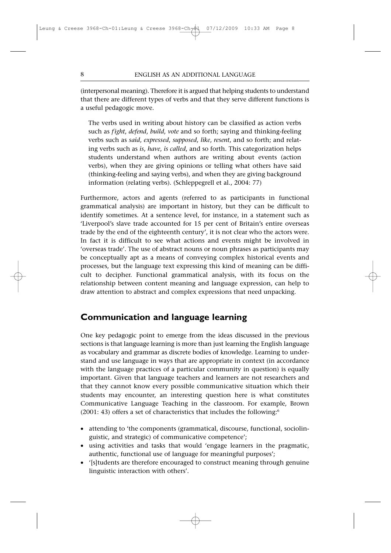(interpersonal meaning). Therefore it is argued that helping students to understand that there are different types of verbs and that they serve different functions is a useful pedagogic move.

The verbs used in writing about history can be classified as action verbs such as *fight*, *defend*, *build*, *vote* and so forth; saying and thinking-feeling verbs such as *said*, *expressed*, *supposed*, *like*, *resent*, and so forth; and relating verbs such as *is*, *have*, *is called*, and so forth. This categorization helps students understand when authors are writing about events (action verbs), when they are giving opinions or telling what others have said (thinking-feeling and saying verbs), and when they are giving background information (relating verbs). (Schleppegrell et al., 2004: 77)

Furthermore, actors and agents (referred to as participants in functional grammatical analysis) are important in history, but they can be difficult to identify sometimes. At a sentence level, for instance, in a statement such as 'Liverpool's slave trade accounted for 15 per cent of Britain's entire overseas trade by the end of the eighteenth century', it is not clear who the actors were. In fact it is difficult to see what actions and events might be involved in 'overseas trade'. The use of abstract nouns or noun phrases as participants may be conceptually apt as a means of conveying complex historical events and processes, but the language text expressing this kind of meaning can be difficult to decipher. Functional grammatical analysis, with its focus on the relationship between content meaning and language expression, can help to draw attention to abstract and complex expressions that need unpacking.

## **Communication and language learning**

One key pedagogic point to emerge from the ideas discussed in the previous sections is that language learning is more than just learning the English language as vocabulary and grammar as discrete bodies of knowledge. Learning to understand and use language in ways that are appropriate in context (in accordance with the language practices of a particular community in question) is equally important. Given that language teachers and learners are not researchers and that they cannot know every possible communicative situation which their students may encounter, an interesting question here is what constitutes Communicative Language Teaching in the classroom. For example, Brown (2001: 43) offers a set of characteristics that includes the following:<sup>6</sup>

- attending to 'the components (grammatical, discourse, functional, sociolinguistic, and strategic) of communicative competence';
- using activities and tasks that would 'engage learners in the pragmatic, authentic, functional use of language for meaningful purposes';
- '[s]tudents are therefore encouraged to construct meaning through genuine linguistic interaction with others'.

8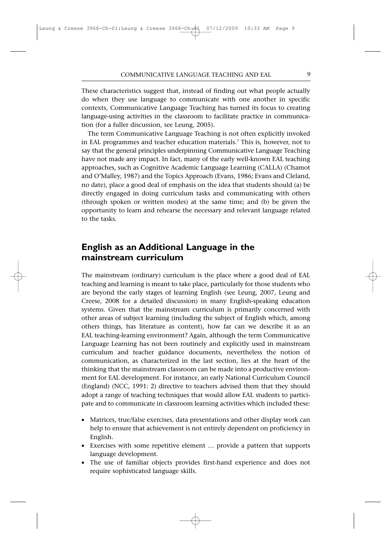These characteristics suggest that, instead of finding out what people actually do when they use language to communicate with one another in specific contexts, Communicative Language Teaching has turned its focus to creating language-using activities in the classroom to facilitate practice in communication (for a fuller discussion, see Leung, 2005).

The term Communicative Language Teaching is not often explicitly invoked in EAL programmes and teacher education materials.<sup>7</sup> This is, however, not to say that the general principles underpinning Communicative Language Teaching have not made any impact. In fact, many of the early well-known EAL teaching approaches, such as Cognitive Academic Language Learning (CALLA) (Chamot and O'Malley, 1987) and the Topics Approach (Evans, 1986; Evans and Cleland, no date), place a good deal of emphasis on the idea that students should (a) be directly engaged in doing curriculum tasks and communicating with others (through spoken or written modes) at the same time; and (b) be given the opportunity to learn and rehearse the necessary and relevant language related to the tasks.

## **English as an Additional Language in the mainstream curriculum**

The mainstream (ordinary) curriculum is the place where a good deal of EAL teaching and learning is meant to take place, particularly for those students who are beyond the early stages of learning English (see Leung, 2007, Leung and Creese, 2008 for a detailed discussion) in many English-speaking education systems. Given that the mainstream curriculum is primarily concerned with other areas of subject learning (including the subject of English which, among others things, has literature as content), how far can we describe it as an EAL teaching-learning environment? Again, although the term Communicative Language Learning has not been routinely and explicitly used in mainstream curriculum and teacher guidance documents, nevertheless the notion of communication, as characterized in the last section, lies at the heart of the thinking that the mainstream classroom can be made into a productive environment for EAL development. For instance, an early National Curriculum Council (England) (NCC, 1991: 2) directive to teachers advised them that they should adopt a range of teaching techniques that would allow EAL students to participate and to communicate in classroom learning activities which included these:

- Matrices, true/false exercises, data presentations and other display work can help to ensure that achievement is not entirely dependent on proficiency in English.
- Exercises with some repetitive element … provide a pattern that supports language development.
- The use of familiar objects provides first-hand experience and does not require sophisticated language skills.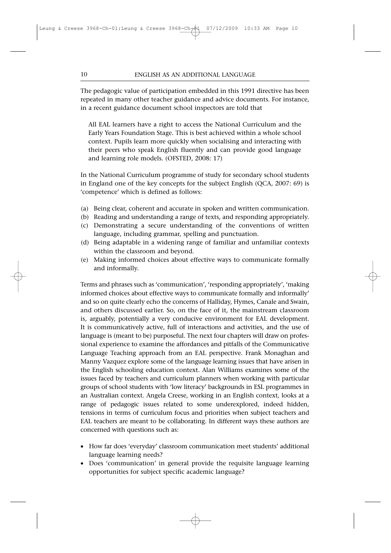#### ENGLISH AS AN ADDITIONAL LANGUAGE

The pedagogic value of participation embedded in this 1991 directive has been repeated in many other teacher guidance and advice documents. For instance, in a recent guidance document school inspectors are told that

All EAL learners have a right to access the National Curriculum and the Early Years Foundation Stage. This is best achieved within a whole school context. Pupils learn more quickly when socialising and interacting with their peers who speak English fluently and can provide good language and learning role models. (OFSTED, 2008: 17)

In the National Curriculum programme of study for secondary school students in England one of the key concepts for the subject English (QCA, 2007: 69) is 'competence' which is defined as follows:

- (a) Being clear, coherent and accurate in spoken and written communication.
- (b) Reading and understanding a range of texts, and responding appropriately.
- (c) Demonstrating a secure understanding of the conventions of written language, including grammar, spelling and punctuation.
- (d) Being adaptable in a widening range of familiar and unfamiliar contexts within the classroom and beyond.
- (e) Making informed choices about effective ways to communicate formally and informally.

Terms and phrases such as 'communication', 'responding appropriately', 'making informed choices about effective ways to communicate formally and informally' and so on quite clearly echo the concerns of Halliday, Hymes, Canale and Swain, and others discussed earlier. So, on the face of it, the mainstream classroom is, arguably, potentially a very conducive environment for EAL development. It is communicatively active, full of interactions and activities, and the use of language is (meant to be) purposeful. The next four chapters will draw on professional experience to examine the affordances and pitfalls of the Communicative Language Teaching approach from an EAL perspective. Frank Monaghan and Manny Vazquez explore some of the language learning issues that have arisen in the English schooling education context. Alan Williams examines some of the issues faced by teachers and curriculum planners when working with particular groups of school students with 'low literacy' backgrounds in ESL programmes in an Australian context. Angela Creese, working in an English context, looks at a range of pedagogic issues related to some underexplored, indeed hidden, tensions in terms of curriculum focus and priorities when subject teachers and EAL teachers are meant to be collaborating. In different ways these authors are concerned with questions such as:

- How far does 'everyday' classroom communication meet students' additional language learning needs?
- Does 'communication' in general provide the requisite language learning opportunities for subject specific academic language?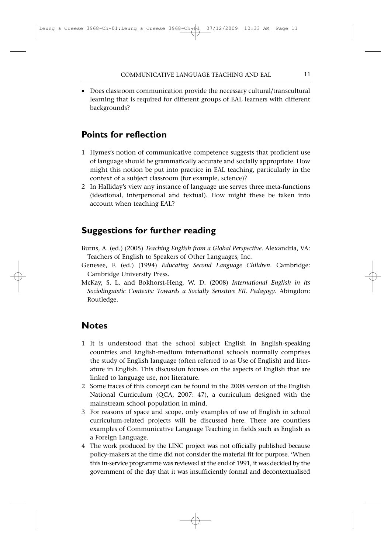• Does classroom communication provide the necessary cultural/transcultural learning that is required for different groups of EAL learners with different backgrounds?

## **Points for reflection**

- 1 Hymes's notion of communicative competence suggests that proficient use of language should be grammatically accurate and socially appropriate. How might this notion be put into practice in EAL teaching, particularly in the context of a subject classroom (for example, science)?
- 2 In Halliday's view any instance of language use serves three meta-functions (ideational, interpersonal and textual). How might these be taken into account when teaching EAL?

## **Suggestions for further reading**

Burns, A. (ed.) (2005) *Teaching English from a Global Perspective*. Alexandria, VA: Teachers of English to Speakers of Other Languages, Inc.

- Genesee, F. (ed.) (1994) *Educating Second Language Children*. Cambridge: Cambridge University Press.
- McKay, S. L. and Bokhorst-Heng, W. D. (2008) *International English in its Sociolinguistic Contexts: Towards a Socially Sensitive EIL Pedagogy*. Abingdon: Routledge.

## **Notes**

- 1 It is understood that the school subject English in English-speaking countries and English-medium international schools normally comprises the study of English language (often referred to as Use of English) and literature in English. This discussion focuses on the aspects of English that are linked to language use, not literature.
- 2 Some traces of this concept can be found in the 2008 version of the English National Curriculum (QCA, 2007: 47), a curriculum designed with the mainstream school population in mind.
- 3 For reasons of space and scope, only examples of use of English in school curriculum-related projects will be discussed here. There are countless examples of Communicative Language Teaching in fields such as English as a Foreign Language.
- 4 The work produced by the LINC project was not officially published because policy-makers at the time did not consider the material fit for purpose. 'When this in-service programme was reviewed at the end of 1991, it was decided by the government of the day that it was insufficiently formal and decontextualised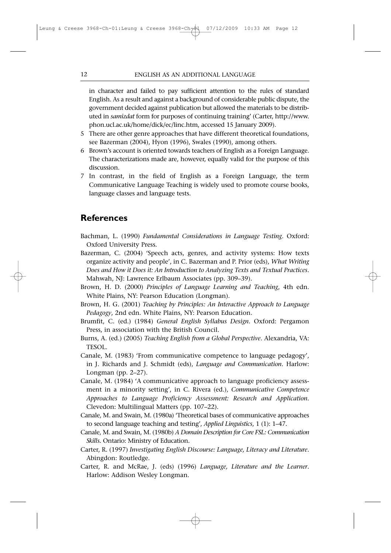#### ENGLISH AS AN ADDITIONAL LANGUAGE

in character and failed to pay sufficient attention to the rules of standard English. As a result and against a background of considerable public dispute, the government decided against publication but allowed the materials to be distributed in *samizdat* form for purposes of continuing training' (Carter, http://www. phon.ucl.ac.uk/home/dick/ec/linc.htm, accessed 15 January 2009).

- 5 There are other genre approaches that have different theoretical foundations, see Bazerman (2004), Hyon (1996), Swales (1990), among others.
- 6 Brown's account is oriented towards teachers of English as a Foreign Language. The characterizations made are, however, equally valid for the purpose of this discussion.
- 7 In contrast, in the field of English as a Foreign Language, the term Communicative Language Teaching is widely used to promote course books, language classes and language tests.

## **References**

12

- Bachman, L. (1990) *Fundamental Considerations in Language Testing*. Oxford: Oxford University Press.
- Bazerman, C. (2004) 'Speech acts, genres, and activity systems: How texts organize activity and people', in C. Bazerman and P. Prior (eds), *What Writing Does and How it Does it: An Introduction to Analyzing Texts and Textual Practices*. Mahwah, NJ: Lawrence Erlbaum Associates (pp. 309–39).
- Brown, H. D. (2000) *Principles of Language Learning and Teaching*, 4th edn. White Plains, NY: Pearson Education (Longman).
- Brown, H. G. (2001) *Teaching by Principles: An Interactive Approach to Language Pedagogy*, 2nd edn. White Plains, NY: Pearson Education.
- Brumfit, C. (ed.) (1984) *General English Syllabus Design*. Oxford: Pergamon Press, in association with the British Council.
- Burns, A. (ed.) (2005) *Teaching English from a Global Perspective*. Alexandria, VA: TESOL.
- Canale, M. (1983) 'From communicative competence to language pedagogy', in J. Richards and J. Schmidt (eds), *Language and Communication*. Harlow: Longman (pp. 2–27).
- Canale, M. (1984) 'A communicative approach to language proficiency assessment in a minority setting', in C. Rivera (ed.), *Communicative Competence Approaches to Language Proficiency Assessment: Research and Application.* Clevedon: Multilingual Matters (pp. 107–22).
- Canale, M. and Swain, M. (1980a) 'Theoretical bases of communicative approaches to second language teaching and testing', *Applied Linguistics*, 1 (1): 1–47.
- Canale, M. and Swain, M. (1980b) *A Domain Description for Core FSL: Communication Skills.* Ontario: Ministry of Education.
- Carter, R. (1997) *Investigating English Discourse: Language, Literacy and Literature*. Abingdon: Routledge.
- Carter, R. and McRae, J. (eds) (1996) *Language, Literature and the Learner*. Harlow: Addison Wesley Longman.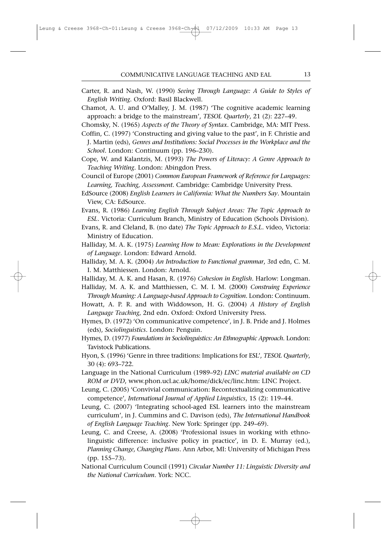- Carter, R. and Nash, W. (1990) *Seeing Through Language: A Guide to Styles of English Writing*. Oxford: Basil Blackwell.
- Chamot, A. U. and O'Malley, J. M. (1987) 'The cognitive academic learning approach: a bridge to the mainstream', *TESOL Quarterly*, 21 (2): 227–49.

Chomsky, N. (1965) *Aspects of the Theory of Syntax*. Cambridge, MA: MIT Press.

- Coffin, C. (1997) 'Constructing and giving value to the past', in F. Christie and J. Martin (eds), *Genres and Institutions: Social Processes in the Workplace and the School*. London: Continuum (pp. 196–230).
- Cope, W. and Kalantzis, M. (1993) *The Powers of Literacy: A Genre Approach to Teaching Writing*. London: Abingdon Press.
- Council of Europe (2001) *Common European Framework of Reference for Languages: Learning, Teaching, Assessment*. Cambridge: Cambridge University Press.
- EdSource (2008) *English Learners in California: What the Numbers Say*. Mountain View, CA: EdSource.

Evans, R. (1986) *Learning English Through Subject Areas: The Topic Approach to ESL*. Victoria: Curriculum Branch, Ministry of Education (Schools Division).

- Evans, R. and Cleland, B. (no date) *The Topic Approach to E.S.L.* video, Victoria: Ministry of Education.
- Halliday, M. A. K. (1975) *Learning How to Mean: Explorations in the Development of Language*. London: Edward Arnold.
- Halliday, M. A. K. (2004) *An Introduction to Functional grammar*, 3rd edn, C. M. I. M. Matthiessen. London: Arnold.
- Halliday, M. A. K. and Hasan, R. (1976) *Cohesion in English*. Harlow: Longman.

Halliday, M. A. K. and Matthiessen, C. M. I. M. (2000) *Construing Experience Through Meaning: A Language-based Approach to Cognition*. London: Continuum.

- Howatt, A. P. R. and with Widdowson, H. G. (2004) *A History of English Language Teaching*, 2nd edn. Oxford: Oxford University Press.
- Hymes, D. (1972) 'On communicative competence', in J. B. Pride and J. Holmes (eds), *Sociolinguistics*. London: Penguin.
- Hymes, D. (1977) *Foundations in Sociolinguistics: An Ethnographic Approach*. London: Tavistock Publications.
- Hyon, S. (1996) 'Genre in three traditions: Implications for ESL', *TESOL Quarterly*, 30 (4): 693–722.
- Language in the National Curriculum (1989–92) *LINC material available on CD ROM or DVD*, www.phon.ucl.ac.uk/home/dick/ec/linc.htm: LINC Project.
- Leung, C. (2005) 'Convivial communication: Recontextualizing communicative competence', *International Journal of Applied Linguistics*, 15 (2): 119–44.
- Leung, C. (2007) 'Integrating school-aged ESL learners into the mainstream curriculum', in J. Cummins and C. Davison (eds), *The International Handbook of English Language Teaching*. New York: Springer (pp. 249–69).
- Leung, C. and Creese, A. (2008) 'Professional issues in working with ethnolinguistic difference: inclusive policy in practice', in D. E. Murray (ed.), *Planning Change, Changing Plans*. Ann Arbor, MI: University of Michigan Press (pp. 155–73).
- National Curriculum Council (1991) *Circular Number 11: Linguistic Diversity and the National Curriculum*. York: NCC.